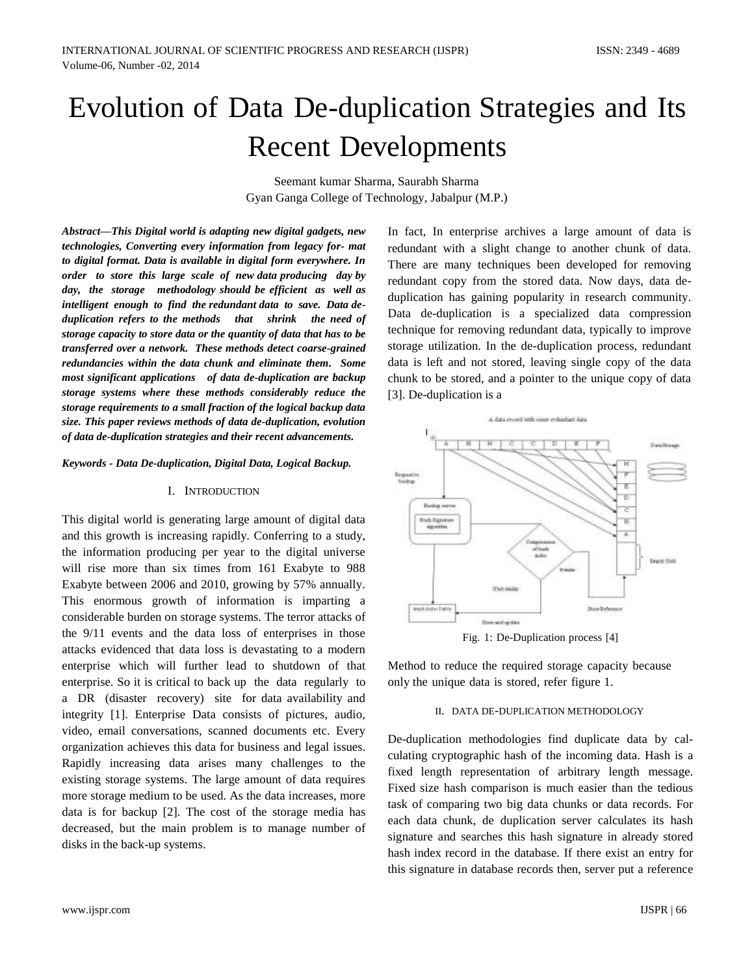# Evolution of Data De-duplication Strategies and Its Recent Developments

Seemant kumar Sharma, Saurabh Sharma Gyan Ganga College of Technology, Jabalpur (M.P.)

*Abstract—This Digital world is adapting new digital gadgets, new technologies, Converting every information from legacy for- mat to digital format. Data is available in digital form everywhere. In order to store this large scale of new data producing day by day, the storage methodology should be efficient as well as intelligent enough to find the redundant data to save. Data deduplication refers to the methods that shrink the need of storage capacity to store data or the quantity of data that has to be transferred over a network. These methods detect coarse-grained redundancies within the data chunk and eliminate them. Some most significant applications of data de-duplication are backup storage systems where these methods considerably reduce the storage requirements to a small fraction of the logical backup data size. This paper reviews methods of data de-duplication, evolution of data de-duplication strategies and their recent advancements.*

#### *Keywords - Data De-duplication, Digital Data, Logical Backup.*

#### I. INTRODUCTION

This digital world is generating large amount of digital data and this growth is increasing rapidly. Conferring to a study, the information producing per year to the digital universe will rise more than six times from 161 Exabyte to 988 Exabyte between 2006 and 2010, growing by 57% annually. This enormous growth of information is imparting a considerable burden on storage systems. The terror attacks of the 9/11 events and the data loss of enterprises in those attacks evidenced that data loss is devastating to a modern enterprise which will further lead to shutdown of that enterprise. So it is critical to back up the data regularly to a DR (disaster recovery) site for data availability and integrity [1]. Enterprise Data consists of pictures, audio, video, email conversations, scanned documents etc. Every organization achieves this data for business and legal issues. Rapidly increasing data arises many challenges to the existing storage systems. The large amount of data requires more storage medium to be used. As the data increases, more data is for backup [2]. The cost of the storage media has decreased, but the main problem is to manage number of disks in the back-up systems.

In fact, In enterprise archives a large amount of data is redundant with a slight change to another chunk of data. There are many techniques been developed for removing redundant copy from the stored data. Now days, data deduplication has gaining popularity in research community. Data de-duplication is a specialized data compression technique for removing redundant data, typically to improve storage utilization. In the de-duplication process, redundant data is left and not stored, leaving single copy of the data chunk to be stored, and a pointer to the unique copy of data [3]. De-duplication is a



Fig. 1: De-Duplication process [4]

Method to reduce the required storage capacity because only the unique data is stored, refer figure 1.

#### II. DATA DE-DUPLICATION METHODOLOGY

De-duplication methodologies find duplicate data by calculating cryptographic hash of the incoming data. Hash is a fixed length representation of arbitrary length message. Fixed size hash comparison is much easier than the tedious task of comparing two big data chunks or data records. For each data chunk, de duplication server calculates its hash signature and searches this hash signature in already stored hash index record in the database. If there exist an entry for this signature in database records then, server put a reference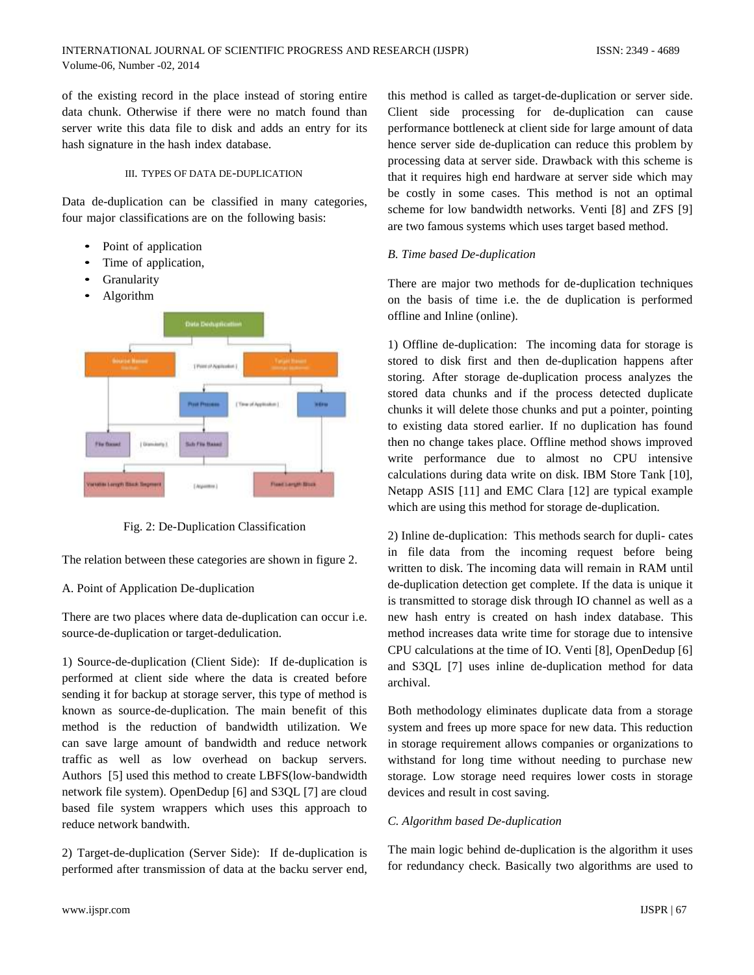of the existing record in the place instead of storing entire data chunk. Otherwise if there were no match found than server write this data file to disk and adds an entry for its hash signature in the hash index database.

# III. TYPES OF DATA DE-DUPLICATION

Data de-duplication can be classified in many categories, four major classifications are on the following basis:

- Point of application
- Time of application,
- **Granularity**
- Algorithm



Fig. 2: De-Duplication Classification

The relation between these categories are shown in figure 2.

A. Point of Application De-duplication

There are two places where data de-duplication can occur i.e. source-de-duplication or target-dedulication.

1) Source-de-duplication (Client Side): If de-duplication is performed at client side where the data is created before sending it for backup at storage server, this type of method is known as source-de-duplication. The main benefit of this method is the reduction of bandwidth utilization. We can save large amount of bandwidth and reduce network traffic as well as low overhead on backup servers. Authors [5] used this method to create LBFS(low-bandwidth network file system). OpenDedup [6] and S3QL [7] are cloud based file system wrappers which uses this approach to reduce network bandwith.

2) Target-de-duplication (Server Side): If de-duplication is performed after transmission of data at the backu server end,

this method is called as target-de-duplication or server side. Client side processing for de-duplication can cause performance bottleneck at client side for large amount of data hence server side de-duplication can reduce this problem by processing data at server side. Drawback with this scheme is that it requires high end hardware at server side which may be costly in some cases. This method is not an optimal scheme for low bandwidth networks. Venti [8] and ZFS [9] are two famous systems which uses target based method.

# *B. Time based De-duplication*

There are major two methods for de-duplication techniques on the basis of time i.e. the de duplication is performed offline and Inline (online).

1) Offline de-duplication: The incoming data for storage is stored to disk first and then de-duplication happens after storing. After storage de-duplication process analyzes the stored data chunks and if the process detected duplicate chunks it will delete those chunks and put a pointer, pointing to existing data stored earlier. If no duplication has found then no change takes place. Offline method shows improved write performance due to almost no CPU intensive calculations during data write on disk. IBM Store Tank [10], Netapp ASIS [11] and EMC Clara [12] are typical example which are using this method for storage de-duplication.

2) Inline de-duplication: This methods search for dupli- cates in file data from the incoming request before being written to disk. The incoming data will remain in RAM until de-duplication detection get complete. If the data is unique it is transmitted to storage disk through IO channel as well as a new hash entry is created on hash index database. This method increases data write time for storage due to intensive CPU calculations at the time of IO. Venti [8], OpenDedup [6] and S3QL [7] uses inline de-duplication method for data archival.

Both methodology eliminates duplicate data from a storage system and frees up more space for new data. This reduction in storage requirement allows companies or organizations to withstand for long time without needing to purchase new storage. Low storage need requires lower costs in storage devices and result in cost saving.

# *C. Algorithm based De-duplication*

The main logic behind de-duplication is the algorithm it uses for redundancy check. Basically two algorithms are used to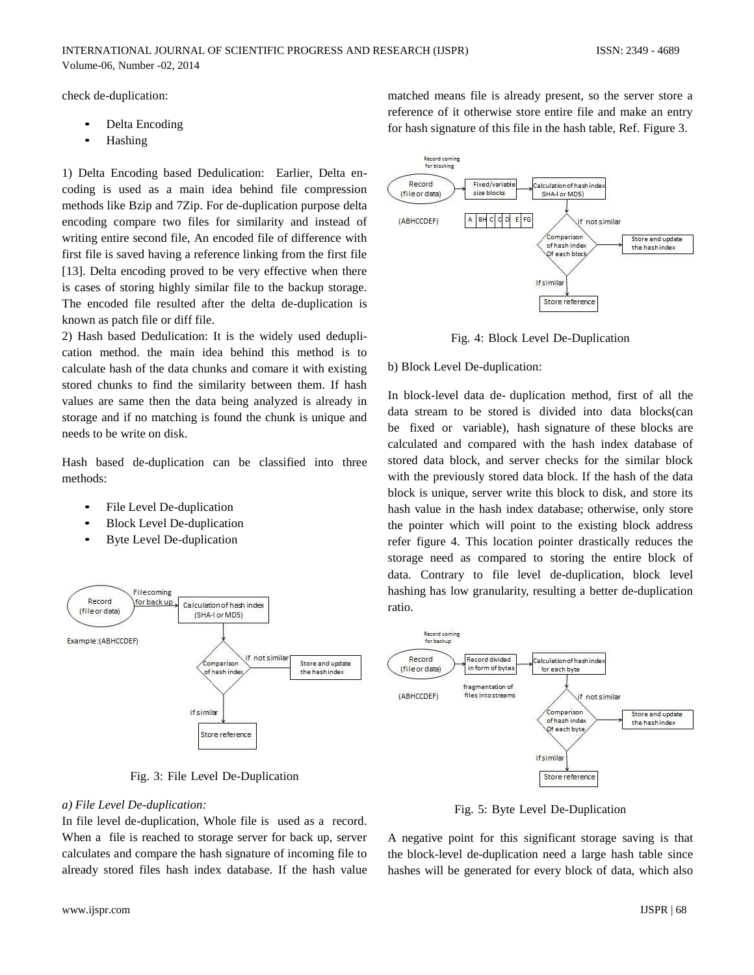check de-duplication:

- Delta Encoding
- Hashing

1) Delta Encoding based Dedulication: Earlier, Delta encoding is used as a main idea behind file compression methods like Bzip and 7Zip. For de-duplication purpose delta encoding compare two files for similarity and instead of writing entire second file, An encoded file of difference with first file is saved having a reference linking from the first file [13]. Delta encoding proved to be very effective when there is cases of storing highly similar file to the backup storage. The encoded file resulted after the delta de-duplication is known as patch file or diff file.

2) Hash based Dedulication: It is the widely used deduplication method. the main idea behind this method is to calculate hash of the data chunks and comare it with existing stored chunks to find the similarity between them. If hash values are same then the data being analyzed is already in storage and if no matching is found the chunk is unique and needs to be write on disk.

Hash based de-duplication can be classified into three methods:

- File Level De-duplication
- Block Level De-duplication
- Byte Level De-duplication



Fig. 3: File Level De-Duplication

# *a) File Level De-duplication:*

In file level de-duplication, Whole file is used as a record. When a file is reached to storage server for back up, server calculates and compare the hash signature of incoming file to already stored files hash index database. If the hash value matched means file is already present, so the server store a reference of it otherwise store entire file and make an entry for hash signature of this file in the hash table, Ref. Figure 3.



Fig. 4: Block Level De-Duplication

# b) Block Level De-duplication:

In block-level data de- duplication method, first of all the data stream to be stored is divided into data blocks(can be fixed or variable), hash signature of these blocks are calculated and compared with the hash index database of stored data block, and server checks for the similar block with the previously stored data block. If the hash of the data block is unique, server write this block to disk, and store its hash value in the hash index database; otherwise, only store the pointer which will point to the existing block address refer figure 4. This location pointer drastically reduces the storage need as compared to storing the entire block of data. Contrary to file level de-duplication, block level hashing has low granularity, resulting a better de-duplication ratio.



Fig. 5: Byte Level De-Duplication

A negative point for this significant storage saving is that the block-level de-duplication need a large hash table since hashes will be generated for every block of data, which also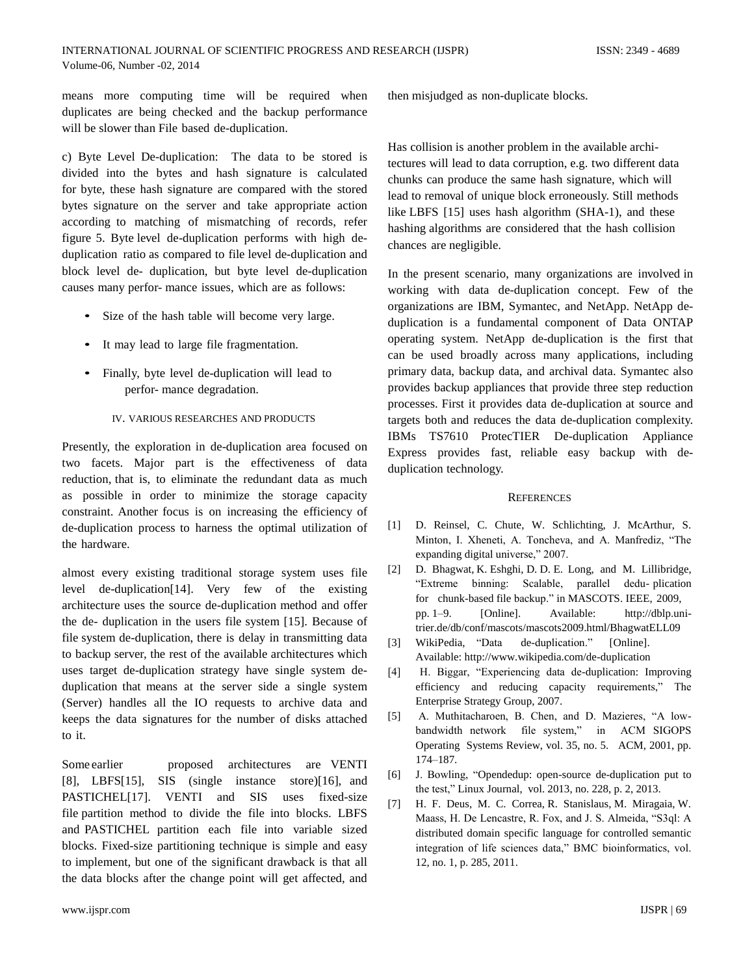means more computing time will be required when duplicates are being checked and the backup performance will be slower than File based de-duplication.

c) Byte Level De-duplication: The data to be stored is divided into the bytes and hash signature is calculated for byte, these hash signature are compared with the stored bytes signature on the server and take appropriate action according to matching of mismatching of records, refer figure 5. Byte level de-duplication performs with high deduplication ratio as compared to file level de-duplication and block level de- duplication, but byte level de-duplication causes many perfor- mance issues, which are as follows:

- Size of the hash table will become very large.
- It may lead to large file fragmentation.
- Finally, byte level de-duplication will lead to perfor- mance degradation.

#### IV. VARIOUS RESEARCHES AND PRODUCTS

Presently, the exploration in de-duplication area focused on two facets. Major part is the effectiveness of data reduction, that is, to eliminate the redundant data as much as possible in order to minimize the storage capacity constraint. Another focus is on increasing the efficiency of de-duplication process to harness the optimal utilization of the hardware.

almost every existing traditional storage system uses file level de-duplication[14]. Very few of the existing architecture uses the source de-duplication method and offer the de- duplication in the users file system [15]. Because of file system de-duplication, there is delay in transmitting data to backup server, the rest of the available architectures which uses target de-duplication strategy have single system deduplication that means at the server side a single system (Server) handles all the IO requests to archive data and keeps the data signatures for the number of disks attached to it.

Some earlier proposed architectures are VENTI [8], LBFS[15], SIS (single instance store)[16], and PASTICHEL<sup>[17]</sup>. VENTI and SIS uses fixed-size file partition method to divide the file into blocks. LBFS and PASTICHEL partition each file into variable sized blocks. Fixed-size partitioning technique is simple and easy to implement, but one of the significant drawback is that all the data blocks after the change point will get affected, and then misjudged as non-duplicate blocks.

Has collision is another problem in the available architectures will lead to data corruption, e.g. two different data chunks can produce the same hash signature, which will lead to removal of unique block erroneously. Still methods like LBFS [15] uses hash algorithm (SHA-1), and these hashing algorithms are considered that the hash collision chances are negligible.

In the present scenario, many organizations are involved in working with data de-duplication concept. Few of the organizations are IBM, Symantec, and NetApp. NetApp deduplication is a fundamental component of Data ONTAP operating system. NetApp de-duplication is the first that can be used broadly across many applications, including primary data, backup data, and archival data. Symantec also provides backup appliances that provide three step reduction processes. First it provides data de-duplication at source and targets both and reduces the data de-duplication complexity. IBMs TS7610 ProtecTIER De-duplication Appliance Express provides fast, reliable easy backup with deduplication technology.

#### **REFERENCES**

- [1] D. Reinsel, C. Chute, W. Schlichting, J. McArthur, S. Minton, I. Xheneti, A. Toncheva, and A. Manfrediz, "The expanding digital universe," 2007.
- [2] D. Bhagwat, K. Eshghi, D. D. E. Long, and M. Lillibridge, "Extreme binning: Scalable, parallel dedu- plication for chunk-based file backup." in MASCOTS. IEEE, 2009, pp. 1–9. [Online]. Available: http://dblp.unitrier.de/db/conf/mascots/mascots2009.html/BhagwatELL09
- [3] WikiPedia, "Data de-duplication." [Online]. Available: http://www.wikipedia.com/de-duplication
- [4] H. Biggar, "Experiencing data de-duplication: Improving efficiency and reducing capacity requirements," The Enterprise Strategy Group, 2007.
- [5] A. Muthitacharoen, B. Chen, and D. Mazieres, "A lowbandwidth network file system," in ACM SIGOPS Operating Systems Review, vol. 35, no. 5. ACM, 2001, pp. 174–187.
- [6] J. Bowling, "Opendedup: open-source de-duplication put to the test," Linux Journal, vol. 2013, no. 228, p. 2, 2013.
- [7] H. F. Deus, M. C. Correa, R. Stanislaus, M. Miragaia, W. Maass, H. De Lencastre, R. Fox, and J. S. Almeida, "S3ql: A distributed domain specific language for controlled semantic integration of life sciences data," BMC bioinformatics, vol. 12, no. 1, p. 285, 2011.